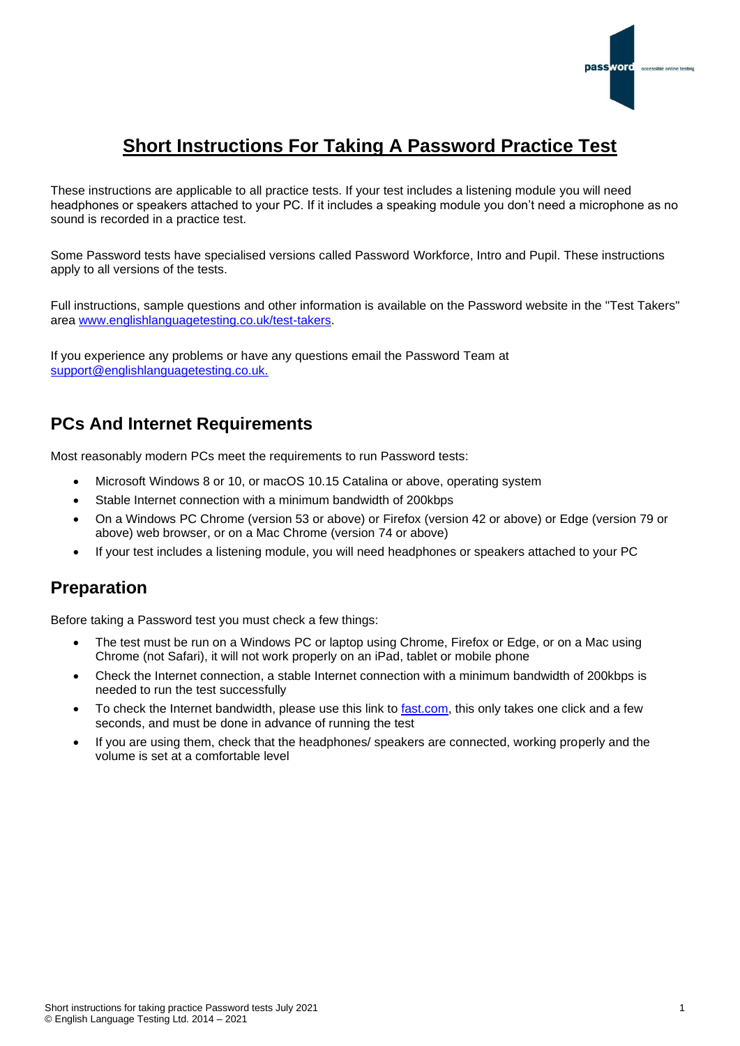

# **Short Instructions For Taking A Password Practice Test**

These instructions are applicable to all practice tests. If your test includes a listening module you will need headphones or speakers attached to your PC. If it includes a speaking module you don't need a microphone as no sound is recorded in a practice test.

Some Password tests have specialised versions called Password Workforce, Intro and Pupil. These instructions apply to all versions of the tests.

Full instructions, sample questions and other information is available on the Password website in the "Test Takers" area [www.englishlanguagetesting.co.uk/test-takers.](https://www.englishlanguagetesting.co.uk/test-takers)

If you experience any problems or have any questions email the Password Team at [support@englishlanguagetesting.co.uk.](mailto:support@englishlanguagetesting.co.uk)

## **PCs And Internet Requirements**

Most reasonably modern PCs meet the requirements to run Password tests:

- Microsoft Windows 8 or 10, or macOS 10.15 Catalina or above, operating system
- Stable Internet connection with a minimum bandwidth of 200kbps
- On a Windows PC Chrome (version 53 or above) or Firefox (version 42 or above) or Edge (version 79 or above) web browser, or on a Mac Chrome (version 74 or above)
- If your test includes a listening module, you will need headphones or speakers attached to your PC

## **Preparation**

Before taking a Password test you must check a few things:

- The test must be run on a Windows PC or laptop using Chrome, Firefox or Edge, or on a Mac using Chrome (not Safari), it will not work properly on an iPad, tablet or mobile phone
- Check the Internet connection, a stable Internet connection with a minimum bandwidth of 200kbps is needed to run the test successfully
- To check the Internet bandwidth, please use this link to [fast.com,](https://fast.com/) this only takes one click and a few seconds, and must be done in advance of running the test
- If you are using them, check that the headphones/ speakers are connected, working properly and the volume is set at a comfortable level